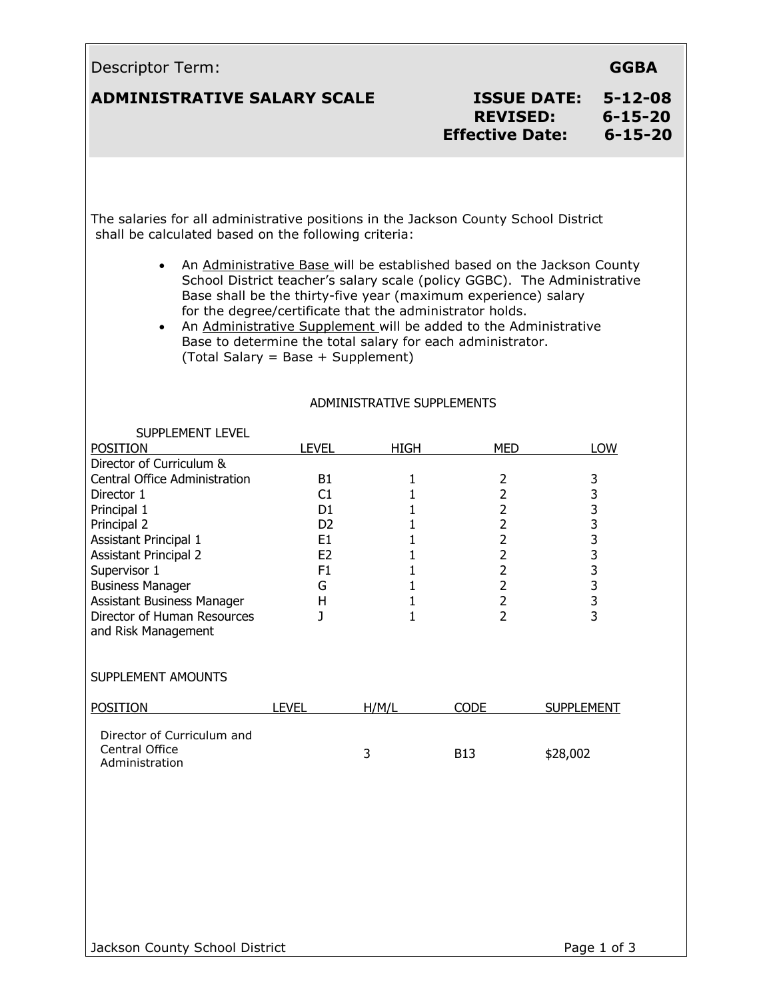| Descriptor Term:                                                                                                                                                                                                                                                                                     |                                                                                                              |                                                                                                                                       |                                                                                                                                                                                            | <b>GGBA</b>                                                                                                                                        |
|------------------------------------------------------------------------------------------------------------------------------------------------------------------------------------------------------------------------------------------------------------------------------------------------------|--------------------------------------------------------------------------------------------------------------|---------------------------------------------------------------------------------------------------------------------------------------|--------------------------------------------------------------------------------------------------------------------------------------------------------------------------------------------|----------------------------------------------------------------------------------------------------------------------------------------------------|
| <b>ADMINISTRATIVE SALARY SCALE</b>                                                                                                                                                                                                                                                                   |                                                                                                              |                                                                                                                                       | <b>ISSUE DATE:</b><br><b>REVISED:</b><br><b>Effective Date:</b>                                                                                                                            | $5 - 12 - 08$<br>$6 - 15 - 20$<br>$6 - 15 - 20$                                                                                                    |
| The salaries for all administrative positions in the Jackson County School District<br>shall be calculated based on the following criteria:<br>$\bullet$                                                                                                                                             |                                                                                                              |                                                                                                                                       | Base shall be the thirty-five year (maximum experience) salary                                                                                                                             | An Administrative Base will be established based on the Jackson County<br>School District teacher's salary scale (policy GGBC). The Administrative |
| $\bullet$                                                                                                                                                                                                                                                                                            | (Total Salary = Base + Supplement)                                                                           | ADMINISTRATIVE SUPPLEMENTS                                                                                                            | for the degree/certificate that the administrator holds.<br>An Administrative Supplement will be added to the Administrative<br>Base to determine the total salary for each administrator. |                                                                                                                                                    |
|                                                                                                                                                                                                                                                                                                      |                                                                                                              |                                                                                                                                       |                                                                                                                                                                                            |                                                                                                                                                    |
| SUPPLEMENT LEVEL<br><b>POSITION</b>                                                                                                                                                                                                                                                                  | <b>LEVEL</b>                                                                                                 | HIGH                                                                                                                                  | <b>MED</b>                                                                                                                                                                                 | LOW                                                                                                                                                |
| Director of Curriculum &<br>Central Office Administration<br>Director 1<br>Principal 1<br>Principal 2<br><b>Assistant Principal 1</b><br><b>Assistant Principal 2</b><br>Supervisor 1<br><b>Business Manager</b><br>Assistant Business Manager<br>Director of Human Resources<br>and Risk Management | <b>B1</b><br>C1<br>D <sub>1</sub><br>D <sub>2</sub><br>E <sub>1</sub><br>E <sub>2</sub><br>F1<br>G<br>H<br>J | $\mathbf{1}$<br>$\mathbf{1}$<br>$\mathbf{1}$<br>$\mathbf{1}$<br>$\mathbf{1}$<br>$\mathbf{1}$<br>1<br>$\mathbf{1}$<br>$\mathbf 1$<br>1 | $\overline{2}$<br>$\overline{2}$<br>$\overline{2}$<br>$\overline{2}$<br>$\overline{2}$<br>$\overline{2}$<br>$\overline{2}$<br>$\overline{2}$<br>$\overline{2}$<br>$\overline{2}$           | 3<br>3<br>333333333                                                                                                                                |
| SUPPLEMENT AMOUNTS                                                                                                                                                                                                                                                                                   |                                                                                                              |                                                                                                                                       |                                                                                                                                                                                            |                                                                                                                                                    |
| <b>POSITION</b>                                                                                                                                                                                                                                                                                      | <b>LEVEL</b>                                                                                                 | H/M/L                                                                                                                                 | <b>CODE</b>                                                                                                                                                                                | <b>SUPPLEMENT</b>                                                                                                                                  |
| Director of Curriculum and<br>Central Office<br>Administration                                                                                                                                                                                                                                       |                                                                                                              | 3                                                                                                                                     | B <sub>13</sub>                                                                                                                                                                            | \$28,002                                                                                                                                           |
| Jackson County School District                                                                                                                                                                                                                                                                       |                                                                                                              |                                                                                                                                       |                                                                                                                                                                                            | Page 1 of 3                                                                                                                                        |

 $\Box$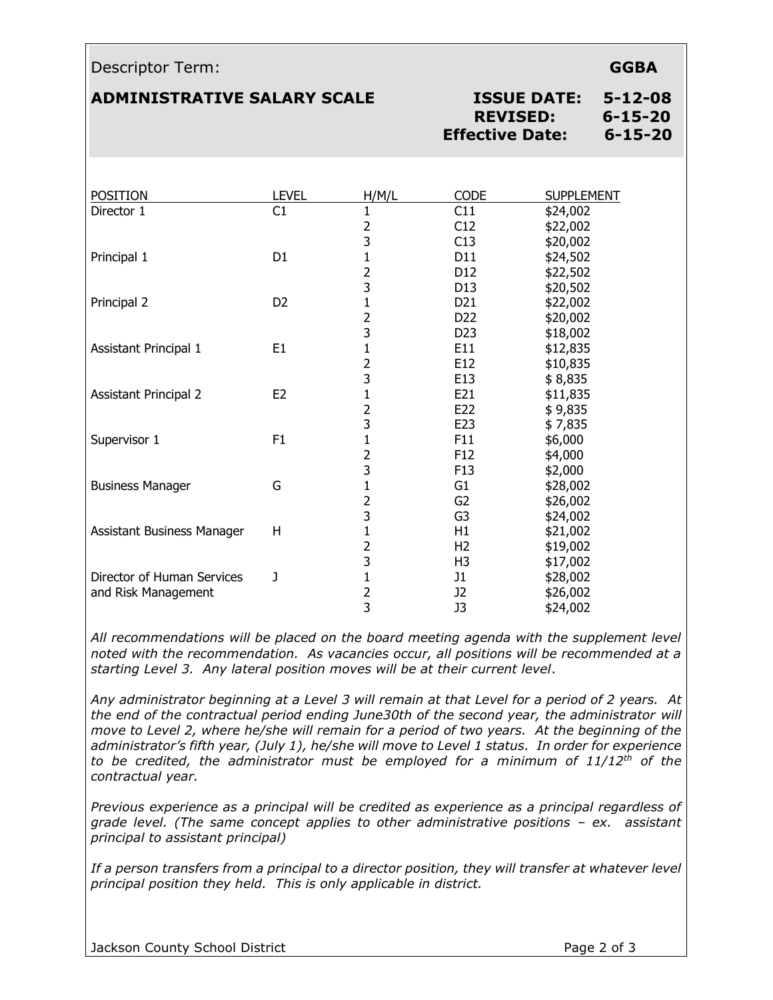### Descriptor Term: **GGBA**

## **ADMINISTRATIVE SALARY SCALE ISSUE DATE: 5-12-08**

# **REVISED: 6-15-20 Effective Date: 6-15-20**

| <b>POSITION</b>              | <b>LEVEL</b>   | H/M/L          | <b>CODE</b>     | <b>SUPPLEMENT</b> |
|------------------------------|----------------|----------------|-----------------|-------------------|
| Director 1                   | C1             | 1              | C11             | \$24,002          |
|                              |                | 2              | C12             | \$22,002          |
|                              |                | 3              | C13             | \$20,002          |
| Principal 1                  | D <sub>1</sub> | 1              | D11             | \$24,502          |
|                              |                | $\overline{2}$ | D <sub>12</sub> | \$22,502          |
|                              |                | 3              | D13             | \$20,502          |
| Principal 2                  | D <sub>2</sub> | 1              | D <sub>21</sub> | \$22,002          |
|                              |                | $\overline{2}$ | D <sub>22</sub> | \$20,002          |
|                              |                | 3              | D <sub>23</sub> | \$18,002          |
| Assistant Principal 1        | E <sub>1</sub> | 1              | E11             | \$12,835          |
|                              |                | 2              | E12             | \$10,835          |
|                              |                | 3              | E13             | \$8,835           |
| <b>Assistant Principal 2</b> | E <sub>2</sub> | $\mathbf{1}$   | E21             | \$11,835          |
|                              |                | 2              | E22             | \$9,835           |
|                              |                | 3              | E23             | \$7,835           |
| Supervisor 1                 | F1             | $\mathbf{1}$   | F11             | \$6,000           |
|                              |                | 2              | F <sub>12</sub> | \$4,000           |
|                              |                | 3              | F <sub>13</sub> | \$2,000           |
| <b>Business Manager</b>      | G              | $\mathbf{1}$   | G1              | \$28,002          |
|                              |                | 2              | G <sub>2</sub>  | \$26,002          |
|                              |                | 3              | G <sub>3</sub>  | \$24,002          |
| Assistant Business Manager   | H              | $\mathbf{1}$   | H1              | \$21,002          |
|                              |                | 2              | H <sub>2</sub>  | \$19,002          |
|                              |                | 3              | H <sub>3</sub>  | \$17,002          |
| Director of Human Services   | J              | 1              | J1              | \$28,002          |
| and Risk Management          |                | 2              | J2              | \$26,002          |
|                              |                | 3              | J3              | \$24,002          |

*All recommendations will be placed on the board meeting agenda with the supplement level noted with the recommendation. As vacancies occur, all positions will be recommended at a starting Level 3. Any lateral position moves will be at their current level*.

*Any administrator beginning at a Level 3 will remain at that Level for a period of 2 years. At the end of the contractual period ending June30th of the second year, the administrator will move to Level 2, where he/she will remain for a period of two years. At the beginning of the administrator's fifth year, (July 1), he/she will move to Level 1 status. In order for experience to be credited, the administrator must be employed for a minimum of 11/12th of the contractual year.* 

*Previous experience as a principal will be credited as experience as a principal regardless of grade level.* (The same concept applies to other administrative positions – ex. assistant *principal to assistant principal)*

If a person transfers from a principal to a director position, they will transfer at whatever level *principal position they held. This is only applicable in district.*